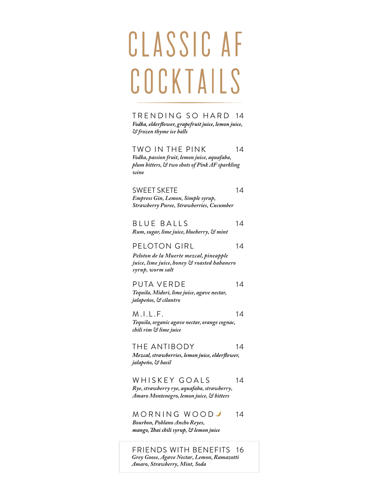# ClAssic AF **COCKTAILS**

TRENDING SO HARD 14 Vodka, elderflower, grapefruit juice, lemon juice, *& frozen thyme ice balls*

TWO IN THE PINK 14 *Vodka, passion fruit, lemon juice, aquafaba, plum bitters, & two shots of Pink AF sparkling wine*

SWEET SKETE 14 *Empress Gin, Lemon, Simple syrup, Strawberry Puree, Strawberries, Cucumber*

BLUE BALLS 14 *Rum, sugar, lime juice, blueberry, & mint*

### PELOTON GIRL 14

*Peloton de la Muerte mezcal, pineapple juice, lime juice, honey & roasted habanero syrup, worm salt* 

PUTA VERDE 14 *Tequila, Midori, lime juice, agave nectar,*

*jalapeños, & cilantro* M .I.L .F. 14

*Tequila, organic agave nectar, orange cognac, chili rim & lime juice*

THE ANTIBODY 14 Mezcal, strawberries, lemon juice, elderflower, *jalapeño, & basil*

WHISKEY GOALS 14 *Rye, strawberry rye, aquafaba, strawberry, Amaro Montenegro, lemon juice, & bitters*

MORNING WOODJ 14 *Bourbon, Poblano Ancho Reyes,* mango, Thai chili syrup, & lemon juice

FRIENDS WITH BENEFITS 16 *Grey Goose, Agave Nectar, Lemon, Ramazotti Amaro, Strawberry, Mint, Soda*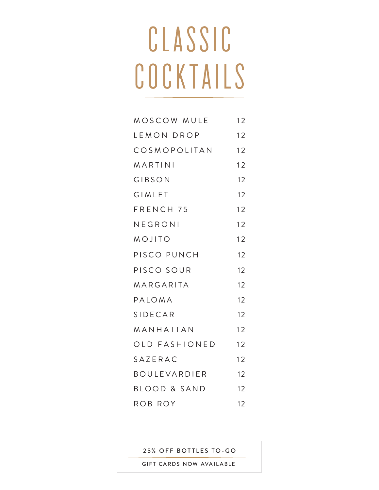# ClAssic COCKTAILS

| MOSCOW MULE         | 12 |
|---------------------|----|
| LEMON DROP          | 12 |
| COSMOPOLITAN        | 12 |
| MARTINI             | 12 |
| GIBSON              | 12 |
| <b>GIMLET</b>       | 12 |
| FRENCH 75           | 12 |
| NEGRONI             | 12 |
| MOJITO              | 12 |
| PISCO PUNCH         | 12 |
| PISCO SOUR          | 12 |
| MARGARITA           | 12 |
| PALOMA              | 12 |
| <b>SIDECAR</b>      | 12 |
| MANHATTAN           | 12 |
| OLD FASHIONED       | 12 |
| SAZERAC             | 12 |
| <b>BOULEVARDIER</b> | 12 |
| BLOOD & SAND        | 12 |
| ROB ROY             | 12 |

25% OFF BOTTLES TO-GO

GIFT CARDS NOW AVAILABLE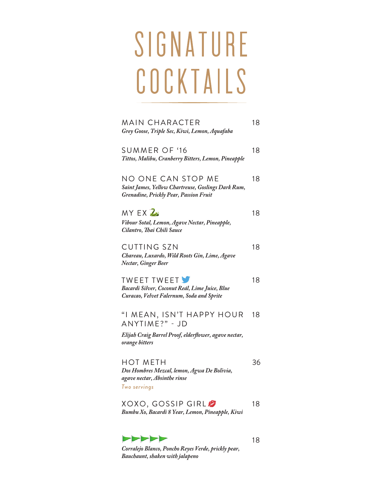# SIGNATURE COCKTAILS

| MAIN CHARACTER<br>Grey Goose, Triple Sec, Kiwi, Lemon, Aquafaba                                                           | 18 |
|---------------------------------------------------------------------------------------------------------------------------|----|
| SUMMER OF '16<br>Tittos, Malibu, Cranberry Bitters, Lemon, Pineapple                                                      | 18 |
| NO ONE CAN STOP ME<br>Saint James, Yellow Chartreuse, Goslings Dark Rum,<br><b>Grenadine, Prickly Pear, Passion Fruit</b> | 18 |
| MY EX <sup>2</sup><br>Vibour Sotal, Lemon, Agave Nectar, Pineapple,<br>Cilantro, Thai Chili Sauce                         | 18 |
| <b>CUTTING SZN</b><br>Chareau, Luxardo, Wild Roots Gin, Lime, Agave<br>Nectar, Ginger Beer                                | 18 |
| <b>TWEET TWEET</b><br>Bacardi Silver, Coconut Reál, Lime Juice, Blue<br>Curacao, Velvet Falernum, Soda and Sprite         | 18 |
| "I MEAN, ISN'T HAPPY HOUR<br>ANYTIME?" - JD                                                                               | 18 |
| Elijah Craig Barrel Proof, elderflower, agave nectar,<br>orange bitters                                                   |    |
| <b>HOT METH</b><br>Dos Hombres Mezcal, lemon, Agwa De Bolivia,<br>agave nectar, Absinthe rinse<br>Two servings            | 36 |
| XOXO, GOSSIP GIRL Ø<br>Bumbu Xo, Bacardi 8 Year, Lemon, Pineapple, Kiwi                                                   | 18 |

*Corralejo Blanco, Poncho Reyes Verde, prickly pear, Bauchaunt, shaken with jalapeno* 

>>>>>

18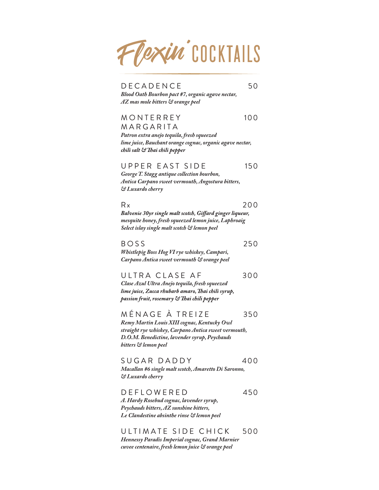

DECA DENCE
50

*Blood Oath Bourbon pact #7, organic agave nectar, AZ mas mole bitters & orange peel*

#### MONTE R R E Y 100 **MARGARITA**

*Patron extra anejo tequila, fresh squeezed lime juice, Bauchant orange cognac, organic agave nectar,* chili salt & Thai chili pepper

### UPPER EAST SIDE 150

*GeorgeT. Stagg antique collection bourbon, Antica Carpano sweet vermouth, Angostura bitters, & Luxardo cherry*

 $Rx$  200

Balvenie 30yr single malt scotch, Giffard ginger liqueur, *mesquite honey, fresh squeezed lemon juice, Laphroaig Select islay single malt scotch & lemon peel*

### $BOSS$  250

*Whistlepig Boss Hog VI rye whiskey, Campari, Carpano Antica sweet vermouth & orange peel*

ULTRA CLASE AF 300

*Clase Azul Ultra Anejo tequila, fresh squeezed*  lime juice, Zucca rhubarb amaro, Thai chili syrup, passion fruit, rosemary & Thai chili pepper

MÉNAGE À TREIZE 350 *Remy Martin Louis XIII cognac, Kentucky Owl straight rye whiskey, Carpano Antica sweet vermouth, D.O.M. Benedictine, lavender syrup, Peychauds bitters & lemon peel*

SUGAR DADDY 400 *Macallan #6 single malt scotch, Amaretto Di Saronno, & Luxardo cherry*

DEFLOWERED 450 *A. Hardy Rosebud cognac, lavender syrup, Peychauds bitters, AZ sunshine bitters, Le Clandestine absinthe rinse & lemon peel*

ULTIMATE SIDE CHICK 500 *Hennessy Paradis Imperial cognac, Grand Marnier cuvee centenaire, fresh lemon juice & orange peel*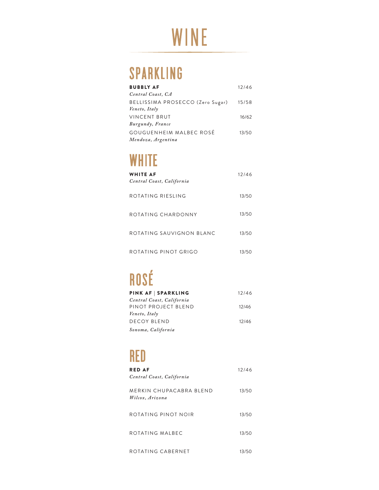## WINE

## SPARKLING

| <b>BUBBLY AF</b>                 | 12/46 |
|----------------------------------|-------|
| Central Coast, CA                |       |
| BELLISSIMA PROSECCO (Zero Sugar) | 15/58 |
| Veneto, Italy                    |       |
| <b>VINCENT BRUT</b>              | 16/62 |
| Burgundy, France                 |       |
| GOUGUENHEIM MALBEC ROSÉ          | 13/50 |
| Mendoza, Argentina               |       |
|                                  |       |

### **WHITE**

| WHITE AF<br>Central Coast, California | 12/46 |
|---------------------------------------|-------|
| ROTATING RIESLING                     | 13/50 |
| ROTATING CHARDONNY                    | 13/50 |
| ROTATING SAUVIGNON BLANC              | 13/50 |
| ROTATING PINOT GRIGO                  | 13/50 |

## ROSÉ

| PINK AF   SPARKLING       | 12/46 |
|---------------------------|-------|
| Central Coast, California |       |
| PINOT PROJECT BLEND       | 12/46 |
| Veneto, Italy             |       |
| DECOY BLEND               | 12/46 |
| Sonoma, California        |       |

### RED

| <b>RED AF</b><br>Central Coast, California | 12/46 |
|--------------------------------------------|-------|
| MERKIN CHUPACABRA BLEND<br>Wilcox, Arizona | 13/50 |
| ROTATING PINOT NOIR                        | 13/50 |
| ROTATING MALBEC                            | 13/50 |
| ROTATING CABERNET                          | 13/50 |